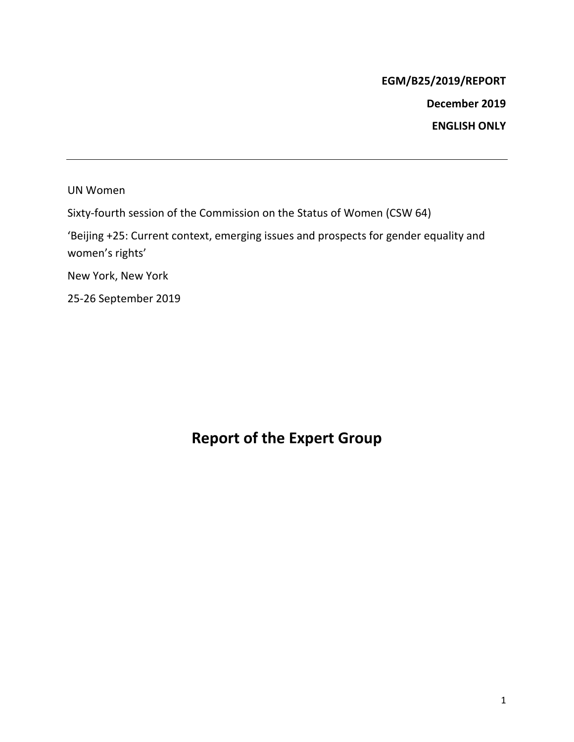## **EGM/B25/2019/REPORT**

**December 2019**

**ENGLISH ONLY**

UN Women

Sixty-fourth session of the Commission on the Status of Women (CSW 64)

'Beijing +25: Current context, emerging issues and prospects for gender equality and women's rights'

New York, New York

25-26 September 2019

## **Report of the Expert Group**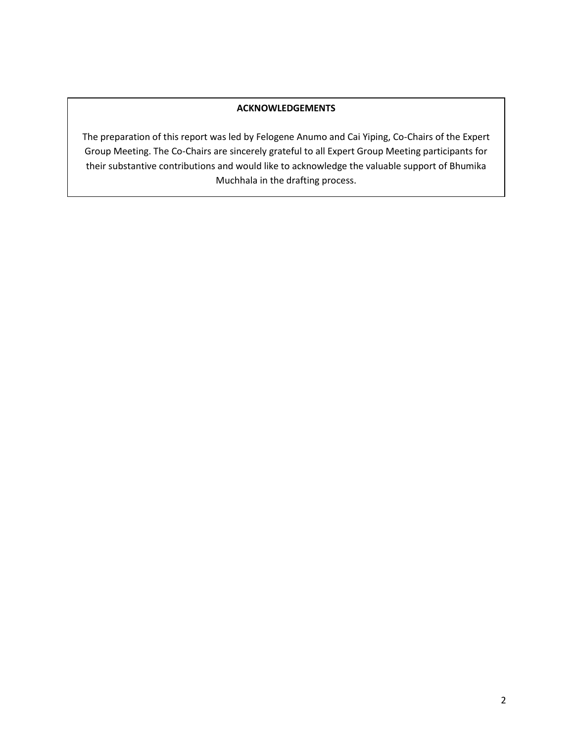#### **ACKNOWLEDGEMENTS**

The preparation of this report was led by Felogene Anumo and Cai Yiping, Co-Chairs of the Expert Group Meeting. The Co-Chairs are sincerely grateful to all Expert Group Meeting participants for their substantive contributions and would like to acknowledge the valuable support of Bhumika Muchhala in the drafting process.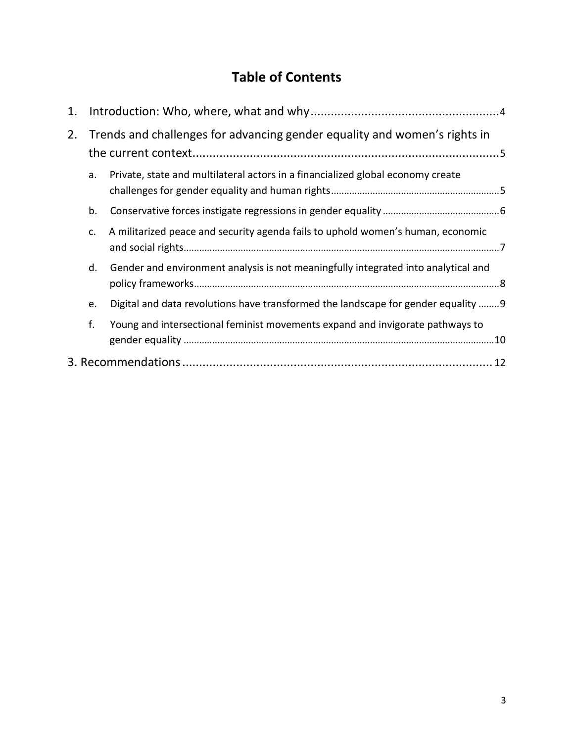# **Table of Contents**

| 1. |                                                                           |                                                                                    |     |
|----|---------------------------------------------------------------------------|------------------------------------------------------------------------------------|-----|
| 2. | Trends and challenges for advancing gender equality and women's rights in |                                                                                    |     |
|    | a.                                                                        | Private, state and multilateral actors in a financialized global economy create    |     |
|    | b.                                                                        |                                                                                    |     |
|    | c.                                                                        | A militarized peace and security agenda fails to uphold women's human, economic    |     |
|    | d.                                                                        | Gender and environment analysis is not meaningfully integrated into analytical and |     |
|    | e.                                                                        | Digital and data revolutions have transformed the landscape for gender equality  9 |     |
|    | f.                                                                        | Young and intersectional feminist movements expand and invigorate pathways to      | .10 |
| 12 |                                                                           |                                                                                    |     |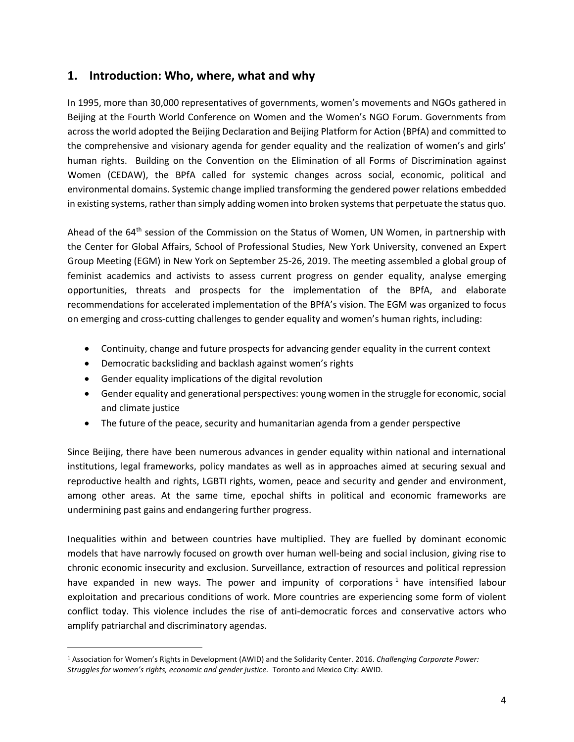#### <span id="page-3-0"></span>**1. Introduction: Who, where, what and why**

In 1995, more than 30,000 representatives of governments, women's movements and NGOs gathered in Beijing at the Fourth World Conference on Women and the Women's NGO Forum. Governments from across the world adopted the Beijing Declaration and Beijing Platform for Action (BPfA) and committed to the comprehensive and visionary agenda for gender equality and the realization of women's and girls' human rights. Building on the Convention on the Elimination of all Forms of Discrimination against Women (CEDAW), the BPfA called for systemic changes across social, economic, political and environmental domains. Systemic change implied transforming the gendered power relations embedded in existing systems, rather than simply adding women into broken systems that perpetuate the status quo.

Ahead of the 64<sup>th</sup> session of the Commission on the Status of Women, UN Women, in partnership with the Center for Global Affairs, School of Professional Studies, New York University, convened an Expert Group Meeting (EGM) in New York on September 25-26, 2019. The meeting assembled a global group of feminist academics and activists to assess current progress on gender equality, analyse emerging opportunities, threats and prospects for the implementation of the BPfA, and elaborate recommendations for accelerated implementation of the BPfA's vision. The EGM was organized to focus on emerging and cross-cutting challenges to gender equality and women's human rights, including:

- Continuity, change and future prospects for advancing gender equality in the current context
- Democratic backsliding and backlash against women's rights
- Gender equality implications of the digital revolution
- Gender equality and generational perspectives: young women in the struggle for economic, social and climate justice
- The future of the peace, security and humanitarian agenda from a gender perspective

Since Beijing, there have been numerous advances in gender equality within national and international institutions, legal frameworks, policy mandates as well as in approaches aimed at securing sexual and reproductive health and rights, LGBTI rights, women, peace and security and gender and environment, among other areas. At the same time, epochal shifts in political and economic frameworks are undermining past gains and endangering further progress.

Inequalities within and between countries have multiplied. They are fuelled by dominant economic models that have narrowly focused on growth over human well-being and social inclusion, giving rise to chronic economic insecurity and exclusion. Surveillance, extraction of resources and political repression have expanded in new ways. The power and impunity of corporations<sup>1</sup> have intensified labour exploitation and precarious conditions of work. More countries are experiencing some form of violent conflict today. This violence includes the rise of anti-democratic forces and conservative actors who amplify patriarchal and discriminatory agendas.

<sup>1</sup> Association for Women's Rights in Development (AWID) and the Solidarity Center. 2016. *Challenging Corporate Power: Struggles for women's rights, economic and gender justice.* Toronto and Mexico City: AWID.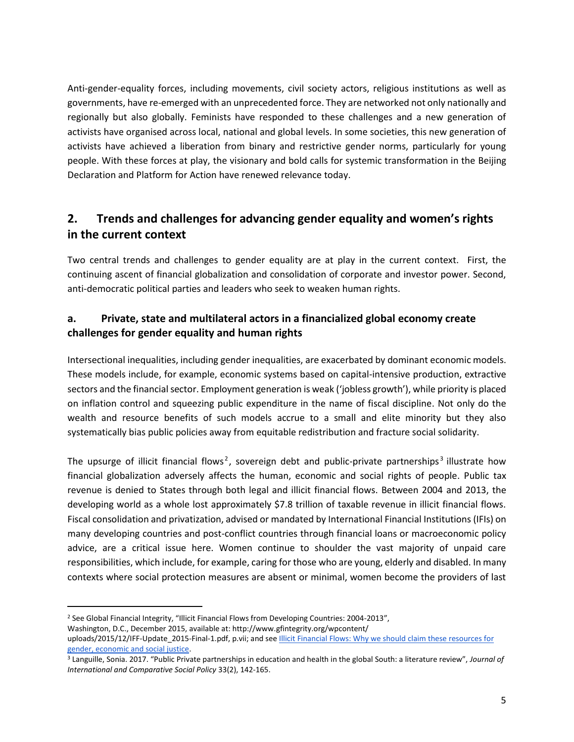Anti-gender-equality forces, including movements, civil society actors, religious institutions as well as governments, have re-emerged with an unprecedented force. They are networked not only nationally and regionally but also globally. Feminists have responded to these challenges and a new generation of activists have organised across local, national and global levels. In some societies, this new generation of activists have achieved a liberation from binary and restrictive gender norms, particularly for young people. With these forces at play, the visionary and bold calls for systemic transformation in the Beijing Declaration and Platform for Action have renewed relevance today.

## <span id="page-4-0"></span>**2. Trends and challenges for advancing gender equality and women's rights in the current context**

Two central trends and challenges to gender equality are at play in the current context. First, the continuing ascent of financial globalization and consolidation of corporate and investor power. Second, anti-democratic political parties and leaders who seek to weaken human rights.

#### <span id="page-4-1"></span>**a. Private, state and multilateral actors in a financialized global economy create challenges for gender equality and human rights**

Intersectional inequalities, including gender inequalities, are exacerbated by dominant economic models. These models include, for example, economic systems based on capital-intensive production, extractive sectors and the financial sector. Employment generation is weak ('jobless growth'), while priority is placed on inflation control and squeezing public expenditure in the name of fiscal discipline. Not only do the wealth and resource benefits of such models accrue to a small and elite minority but they also systematically bias public policies away from equitable redistribution and fracture social solidarity.

The upsurge of illicit financial flows<sup>2</sup>, sovereign debt and public-private partnerships<sup>3</sup> illustrate how financial globalization adversely affects the human, economic and social rights of people. Public tax revenue is denied to States through both legal and illicit financial flows. Between 2004 and 2013, the developing world as a whole lost approximately \$7.8 trillion of taxable revenue in illicit financial flows. Fiscal consolidation and privatization, advised or mandated by International Financial Institutions (IFIs) on many developing countries and post-conflict countries through financial loans or macroeconomic policy advice, are a critical issue here. Women continue to shoulder the vast majority of unpaid care responsibilities, which include, for example, caring for those who are young, elderly and disabled. In many contexts where social protection measures are absent or minimal, women become the providers of last

<sup>&</sup>lt;sup>2</sup> See Global Financial Integrity, "Illicit Financial Flows from Developing Countries: 2004-2013",

Washington, D.C., December 2015, available at: http://www.gfintegrity.org/wpcontent/

uploads/2015/12/IFF-Update 2015-Final-1.pdf, p.vii; and see Illicit Financial Flows: Why we should claim these resources for [gender, economic and social justice.](https://www.awid.org/publications/illicit-financial-flows-why-we-should-claim-these-resources-gender-economic-and-social)

<sup>3</sup> Languille, Sonia. 2017. "Public Private partnerships in education and health in the global South: a literature review", *Journal of International and Comparative Social Policy* 33(2), 142-165.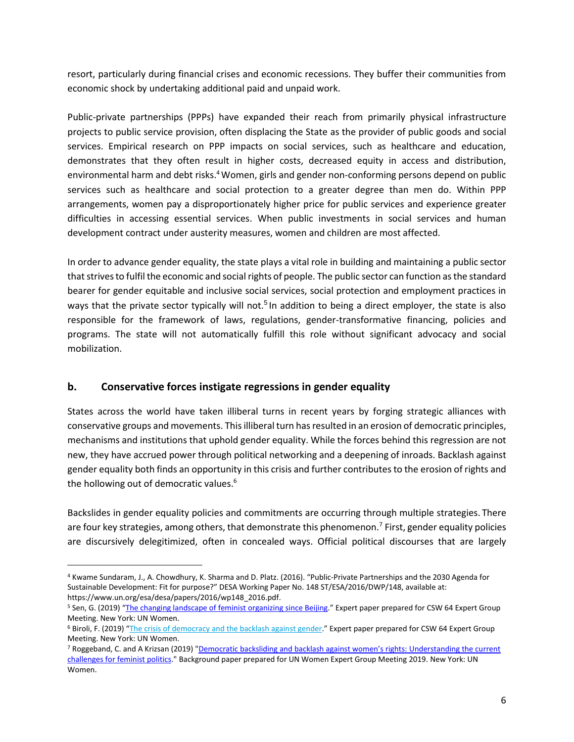resort, particularly during financial crises and economic recessions. They buffer their communities from economic shock by undertaking additional paid and unpaid work.

Public-private partnerships (PPPs) have expanded their reach from primarily physical infrastructure projects to public service provision, often displacing the State as the provider of public goods and social services. Empirical research on PPP impacts on social services, such as healthcare and education, demonstrates that they often result in higher costs, decreased equity in access and distribution, environmental harm and debt risks.<sup>4</sup> Women, girls and gender non-conforming persons depend on public services such as healthcare and social protection to a greater degree than men do. Within PPP arrangements, women pay a disproportionately higher price for public services and experience greater difficulties in accessing essential services. When public investments in social services and human development contract under austerity measures, women and children are most affected.

In order to advance gender equality, the state plays a vital role in building and maintaining a public sector that strives to fulfil the economic and social rights of people. The public sector can function as the standard bearer for gender equitable and inclusive social services, social protection and employment practices in ways that the private sector typically will not.<sup>5</sup> In addition to being a direct employer, the state is also responsible for the framework of laws, regulations, gender-transformative financing, policies and programs. The state will not automatically fulfill this role without significant advocacy and social mobilization.

#### <span id="page-5-0"></span>**b. Conservative forces instigate regressions in gender equality**

States across the world have taken illiberal turns in recent years by forging strategic alliances with conservative groups and movements. This illiberal turn has resulted in an erosion of democratic principles, mechanisms and institutions that uphold gender equality. While the forces behind this regression are not new, they have accrued power through political networking and a deepening of inroads. Backlash against gender equality both finds an opportunity in this crisis and further contributes to the erosion of rights and the hollowing out of democratic values.<sup>6</sup>

Backslides in gender equality policies and commitments are occurring through multiple strategies. There are four key strategies, among others, that demonstrate this phenomenon.<sup>7</sup> First, gender equality policies are discursively delegitimized, often in concealed ways. Official political discourses that are largely

<sup>4</sup> Kwame Sundaram, J., A. Chowdhury, K. Sharma and D. Platz. (2016). "Public-Private Partnerships and the 2030 Agenda for Sustainable Development: Fit for purpose?" DESA Working Paper No. 148 ST/ESA/2016/DWP/148, available at: https://www.un.org/esa/desa/papers/2016/wp148\_2016.pdf.

<sup>&</sup>lt;sup>5</sup> Sen, G. (2019) "[The changing landscape of feminist organizing since Beijing](https://www.unwomen.org/-/media/headquarters/attachments/sections/csw/64/egm/sen%20gexpert%20paperdraftegmb25ep10.pdf?la=en&vs=5416)." Expert paper prepared for CSW 64 Expert Group Meeting. New York: UN Women.

<sup>&</sup>lt;sup>6</sup> Biroli, F. (2019) "The crisis of [democracy](https://www.unwomen.org/-/media/headquarters/attachments/sections/csw/64/egm/biroli%20fexpert%20paperdraftegmb25ep2.pdf?la=en&vs=3520) and the backlash against gender." Expert paper prepared for CSW 64 Expert Group Meeting. New York: UN Women.

<sup>7</sup> Roggeband, C. and A Krizsan (2019) "[Democratic backsliding and backlash against women's rights:](https://www.unwomen.org/-/media/headquarters/attachments/sections/csw/64/egm/roggeband%20c%20and%20a%20krizsanbackground%20paperfinalegmb25bgp1.pdf?la=en&vs=3826) Understanding the current [challenges for feminist politics.](https://www.unwomen.org/-/media/headquarters/attachments/sections/csw/64/egm/roggeband%20c%20and%20a%20krizsanbackground%20paperfinalegmb25bgp1.pdf?la=en&vs=3826)" Background paper prepared for UN Women Expert Group Meeting 2019. New York: UN Women.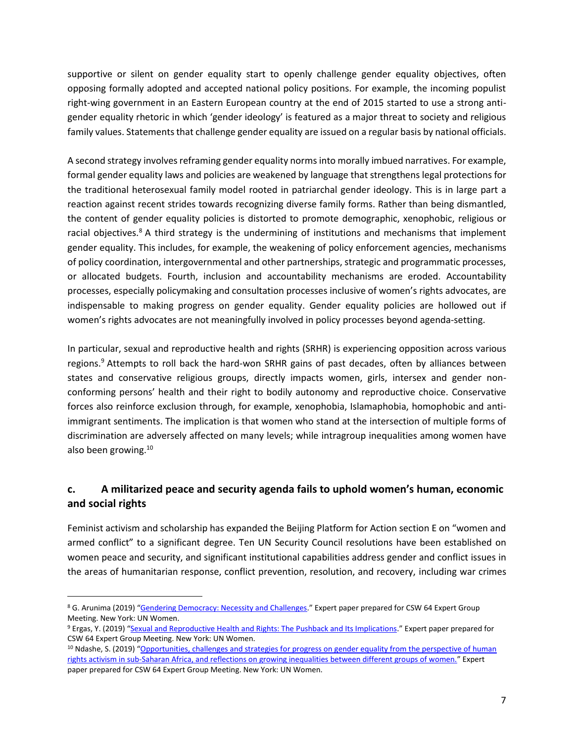supportive or silent on gender equality start to openly challenge gender equality objectives, often opposing formally adopted and accepted national policy positions. For example, the incoming populist right-wing government in an Eastern European country at the end of 2015 started to use a strong antigender equality rhetoric in which 'gender ideology' is featured as a major threat to society and religious family values. Statements that challenge gender equality are issued on a regular basis by national officials.

A second strategy involves reframing gender equality norms into morally imbued narratives. For example, formal gender equality laws and policies are weakened by language that strengthens legal protections for the traditional heterosexual family model rooted in patriarchal gender ideology. This is in large part a reaction against recent strides towards recognizing diverse family forms. Rather than being dismantled, the content of gender equality policies is distorted to promote demographic, xenophobic, religious or racial objectives. $8$  A third strategy is the undermining of institutions and mechanisms that implement gender equality. This includes, for example, the weakening of policy enforcement agencies, mechanisms of policy coordination, intergovernmental and other partnerships, strategic and programmatic processes, or allocated budgets. Fourth, inclusion and accountability mechanisms are eroded. Accountability processes, especially policymaking and consultation processes inclusive of women's rights advocates, are indispensable to making progress on gender equality. Gender equality policies are hollowed out if women's rights advocates are not meaningfully involved in policy processes beyond agenda-setting.

In particular, sexual and reproductive health and rights (SRHR) is experiencing opposition across various regions.<sup>9</sup> Attempts to roll back the hard-won SRHR gains of past decades, often by alliances between states and conservative religious groups, directly impacts women, girls, intersex and gender nonconforming persons' health and their right to bodily autonomy and reproductive choice. Conservative forces also reinforce exclusion through, for example, xenophobia, Islamaphobia, homophobic and antiimmigrant sentiments. The implication is that women who stand at the intersection of multiple forms of discrimination are adversely affected on many levels; while intragroup inequalities among women have also been growing. 10

#### <span id="page-6-0"></span>**c. A militarized peace and security agenda fails to uphold women's human, economic and social rights**

Feminist activism and scholarship has expanded the Beijing Platform for Action section E on "women and armed conflict" to a significant degree. Ten UN Security Council resolutions have been established on women peace and security, and significant institutional capabilities address gender and conflict issues in the areas of humanitarian response, conflict prevention, resolution, and recovery, including war crimes

<sup>&</sup>lt;sup>8</sup> G. Arunima (2019) "[Gendering Democracy: Necessity and Challenges](https://www.unwomen.org/-/media/headquarters/attachments/sections/csw/64/egm/g%20arunimaexpert%20paperdraftegmb25ep5.pdf?la=en&vs=728)." Expert paper prepared for CSW 64 Expert Group Meeting. New York: UN Women.

<sup>9</sup> Ergas, Y. (2019) "[Sexual and Reproductive Health and Rights: The Pushback and Its Implications](https://www.unwomen.org/-/media/headquarters/attachments/sections/csw/64/egm/ergas%20yexpert%20paperdraftegmb25ep3.pdf?la=en&vs=4131)." Expert paper prepared for CSW 64 Expert Group Meeting. New York: UN Women.

<sup>10</sup> Ndashe, S. (2019) "Opportunities, challenges and strategies for progress on gender equality from the perspective of human [rights activism in sub-Saharan Africa, and reflections on growing inequalities between different groups of women.](https://www.unwomen.org/-/media/headquarters/attachments/sections/csw/64/egm/ndashesexpert%20paperdraftegmb25ep8.pdf?la=en&vs=5415)" Expert paper prepared for CSW 64 Expert Group Meeting. New York: UN Women.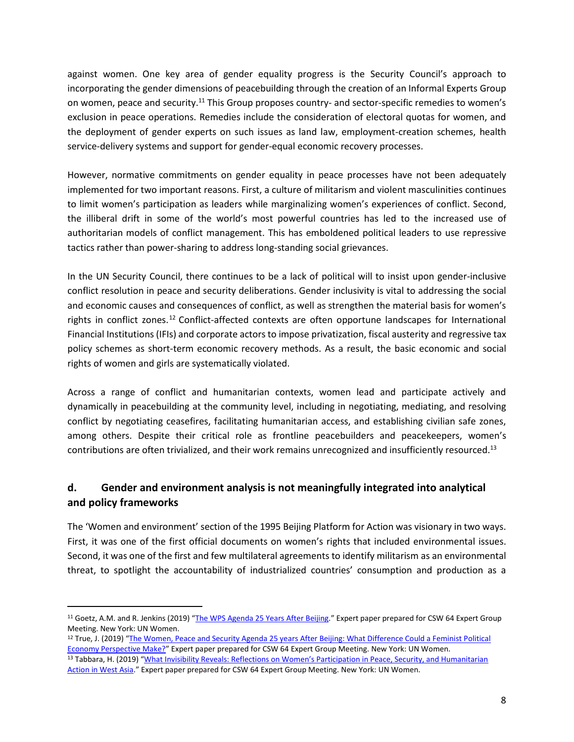against women. One key area of gender equality progress is the Security Council's approach to incorporating the gender dimensions of peacebuilding through the creation of an Informal Experts Group on women, peace and security.<sup>11</sup> This Group proposes country- and sector-specific remedies to women's exclusion in peace operations. Remedies include the consideration of electoral quotas for women, and the deployment of gender experts on such issues as land law, employment-creation schemes, health service-delivery systems and support for gender-equal economic recovery processes.

However, normative commitments on gender equality in peace processes have not been adequately implemented for two important reasons. First, a culture of militarism and violent masculinities continues to limit women's participation as leaders while marginalizing women's experiences of conflict. Second, the illiberal drift in some of the world's most powerful countries has led to the increased use of authoritarian models of conflict management. This has emboldened political leaders to use repressive tactics rather than power-sharing to address long-standing social grievances.

In the UN Security Council, there continues to be a lack of political will to insist upon gender-inclusive conflict resolution in peace and security deliberations. Gender inclusivity is vital to addressing the social and economic causes and consequences of conflict, as well as strengthen the material basis for women's rights in conflict zones.<sup>12</sup> Conflict-affected contexts are often opportune landscapes for International Financial Institutions (IFIs) and corporate actors to impose privatization, fiscal austerity and regressive tax policy schemes as short-term economic recovery methods. As a result, the basic economic and social rights of women and girls are systematically violated.

Across a range of conflict and humanitarian contexts, women lead and participate actively and dynamically in peacebuilding at the community level, including in negotiating, mediating, and resolving conflict by negotiating ceasefires, facilitating humanitarian access, and establishing civilian safe zones, among others. Despite their critical role as frontline peacebuilders and peacekeepers, women's contributions are often trivialized, and their work remains unrecognized and insufficiently resourced.<sup>13</sup>

#### <span id="page-7-0"></span>**d. Gender and environment analysis is not meaningfully integrated into analytical and policy frameworks**

The 'Women and environment' section of the 1995 Beijing Platform for Action was visionary in two ways. First, it was one of the first official documents on women's rights that included environmental issues. Second, it was one of the first and few multilateral agreements to identify militarism as an environmental threat, to spotlight the accountability of industrialized countries' consumption and production as a

<sup>11</sup> Goetz, A.M. and R. Jenkins (2019) "[The WPS Agenda 25 Years After Beijing](https://www.unwomen.org/-/media/headquarters/attachments/sections/csw/64/egm/goetzjenkinsexpert%20paperdraftegmb25ep4.pdf?la=en&vs=844)." Expert paper prepared for CSW 64 Expert Group Meeting. New York: UN Women.

<sup>12</sup> True, J. (2019) "[The Women, Peace and Security Agenda 25 years After Beijing: What Difference Could a Feminist Political](https://www.unwomen.org/-/media/headquarters/attachments/sections/csw/64/egm/true%20jexpert%20paperdraftegmb25ep13.pdf?la=en&vs=1128)  [Economy Perspective Make?](https://www.unwomen.org/-/media/headquarters/attachments/sections/csw/64/egm/true%20jexpert%20paperdraftegmb25ep13.pdf?la=en&vs=1128)" Expert paper prepared for CSW 64 Expert Group Meeting. New York: UN Women. 13 Tabbara, H. (2019) "What Invisibility Reveals: Reflections on Women's Participation in Peace, Security, and Humanitarian

[Action in West Asia](https://www.unwomen.org/-/media/headquarters/attachments/sections/csw/64/egm/tabbara%20hexpert%20paperdraftegmb25ep12.pdf?la=en&vs=3519)." Expert paper prepared for CSW 64 Expert Group Meeting. New York: UN Women.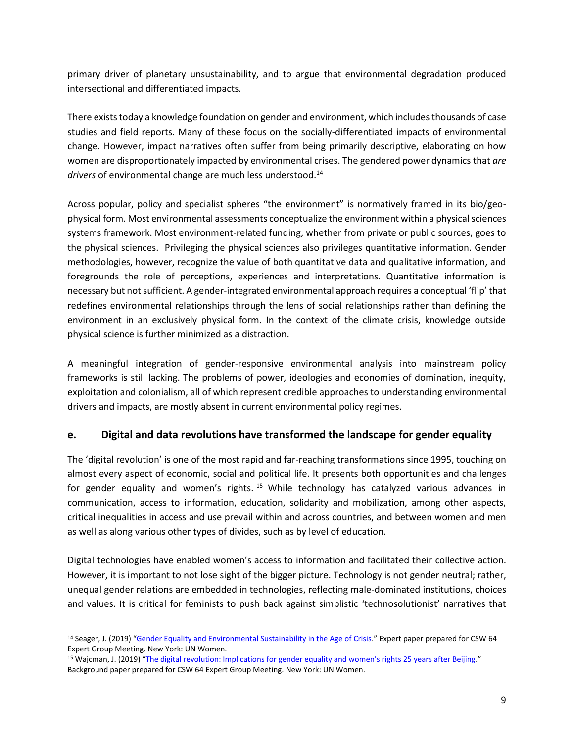primary driver of planetary unsustainability, and to argue that environmental degradation produced intersectional and differentiated impacts.

There exists today a knowledge foundation on gender and environment, which includes thousands of case studies and field reports. Many of these focus on the socially-differentiated impacts of environmental change. However, impact narratives often suffer from being primarily descriptive, elaborating on how women are disproportionately impacted by environmental crises. The gendered power dynamics that *are*  drivers of environmental change are much less understood.<sup>14</sup>

Across popular, policy and specialist spheres "the environment" is normatively framed in its bio/geophysical form. Most environmental assessments conceptualize the environment within a physical sciences systems framework. Most environment-related funding, whether from private or public sources, goes to the physical sciences. Privileging the physical sciences also privileges quantitative information. Gender methodologies, however, recognize the value of both quantitative data and qualitative information, and foregrounds the role of perceptions, experiences and interpretations. Quantitative information is necessary but not sufficient. A gender-integrated environmental approach requires a conceptual 'flip' that redefines environmental relationships through the lens of social relationships rather than defining the environment in an exclusively physical form. In the context of the climate crisis, knowledge outside physical science is further minimized as a distraction.

A meaningful integration of gender-responsive environmental analysis into mainstream policy frameworks is still lacking. The problems of power, ideologies and economies of domination, inequity, exploitation and colonialism, all of which represent credible approaches to understanding environmental drivers and impacts, are mostly absent in current environmental policy regimes.

#### <span id="page-8-0"></span>**e. Digital and data revolutions have transformed the landscape for gender equality**

The 'digital revolution' is one of the most rapid and far-reaching transformations since 1995, touching on almost every aspect of economic, social and political life. It presents both opportunities and challenges for gender equality and women's rights.<sup>15</sup> While technology has catalyzed various advances in communication, access to information, education, solidarity and mobilization, among other aspects, critical inequalities in access and use prevail within and across countries, and between women and men as well as along various other types of divides, such as by level of education.

Digital technologies have enabled women's access to information and facilitated their collective action. However, it is important to not lose sight of the bigger picture. Technology is not gender neutral; rather, unequal gender relations are embedded in technologies, reflecting male-dominated institutions, choices and values. It is critical for feminists to push back against simplistic 'technosolutionist' narratives that

<sup>&</sup>lt;sup>14</sup> Seager, J. (2019) "[Gender Equality and Environmental Sustainability in the Age of Crisis](https://www.unwomen.org/-/media/headquarters/attachments/sections/csw/64/egm/seager%20jexpert%20paperdraftegmb25ep9.pdf?la=en&vs=1033)." Expert paper prepared for CSW 64 Expert Group Meeting. New York: UN Women.

<sup>15</sup> Wajcman, J. (2019) ["The digital revolution: Implications for gender equality and women's rights 25 years after Beijing](https://www.unwomen.org/-/media/headquarters/attachments/sections/csw/64/egm/wajcman%20jbackground%20paperdraftbp3.pdf?la=en&vs=2043)." Background paper prepared for CSW 64 Expert Group Meeting. New York: UN Women.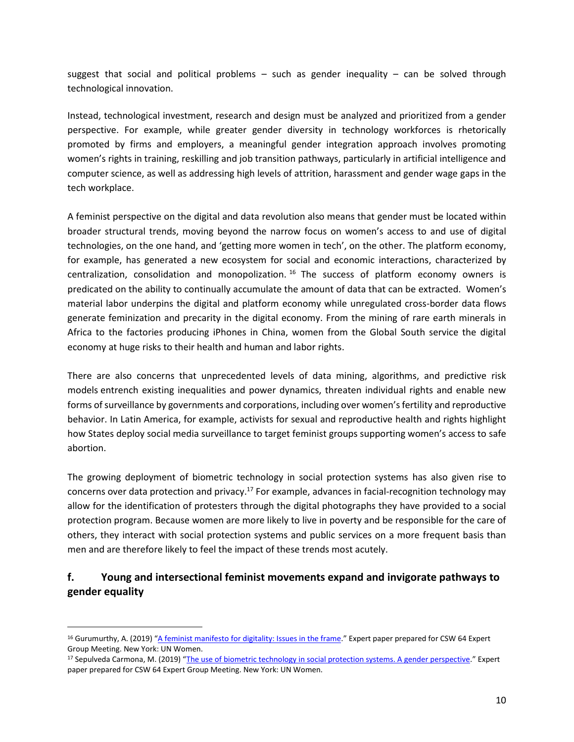suggest that social and political problems  $-$  such as gender inequality  $-$  can be solved through technological innovation.

Instead, technological investment, research and design must be analyzed and prioritized from a gender perspective. For example, while greater gender diversity in technology workforces is rhetorically promoted by firms and employers, a meaningful gender integration approach involves promoting women's rights in training, reskilling and job transition pathways, particularly in artificial intelligence and computer science, as well as addressing high levels of attrition, harassment and gender wage gaps in the tech workplace.

A feminist perspective on the digital and data revolution also means that gender must be located within broader structural trends, moving beyond the narrow focus on women's access to and use of digital technologies, on the one hand, and 'getting more women in tech', on the other. The platform economy, for example, has generated a new ecosystem for social and economic interactions, characterized by centralization, consolidation and monopolization.  $16$  The success of platform economy owners is predicated on the ability to continually accumulate the amount of data that can be extracted. Women's material labor underpins the digital and platform economy while unregulated cross-border data flows generate feminization and precarity in the digital economy. From the mining of rare earth minerals in Africa to the factories producing iPhones in China, women from the Global South service the digital economy at huge risks to their health and human and labor rights.

There are also concerns that unprecedented levels of data mining, algorithms, and predictive risk models entrench existing inequalities and power dynamics, threaten individual rights and enable new forms of surveillance by governments and corporations, including over women's fertility and reproductive behavior. In Latin America, for example, activists for sexual and reproductive health and rights highlight how States deploy social media surveillance to target feminist groups supporting women's access to safe abortion.

The growing deployment of biometric technology in social protection systems has also given rise to concerns over data protection and privacy.<sup>17</sup> For example, advances in facial-recognition technology may allow for the identification of protesters through the digital photographs they have provided to a social protection program. Because women are more likely to live in poverty and be responsible for the care of others, they interact with social protection systems and public services on a more frequent basis than men and are therefore likely to feel the impact of these trends most acutely.

#### <span id="page-9-0"></span>**f. Young and intersectional feminist movements expand and invigorate pathways to gender equality**

<sup>16</sup> Gurumurthy, A. (2019) "[A feminist manifesto for digitality: Issues in the frame.](https://www.unwomen.org/-/media/headquarters/attachments/sections/csw/64/egm/gurumurthy%20aexpert%20paperdraftegmb25ep6.pdf?la=en&vs=935)" Expert paper prepared for CSW 64 Expert Group Meeting. New York: UN Women.

<sup>17</sup> Sepulveda Carmona, M. (2019) "[The use of biometric technology in social protection systems. A gender perspective](https://www.unwomen.org/-/media/headquarters/attachments/sections/csw/64/egm/sepulveda%20mexpert%20paperfinalegmb25ep11.pdf?la=en&vs=3827)." Expert paper prepared for CSW 64 Expert Group Meeting. New York: UN Women.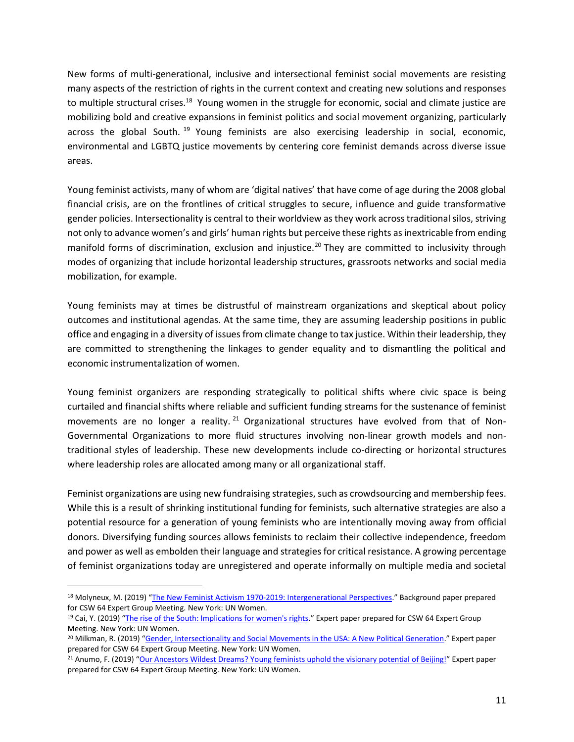New forms of multi-generational, inclusive and intersectional feminist social movements are resisting many aspects of the restriction of rights in the current context and creating new solutions and responses to multiple structural crises.<sup>18</sup> Young women in the struggle for economic, social and climate justice are mobilizing bold and creative expansions in feminist politics and social movement organizing, particularly across the global South.<sup>19</sup> Young feminists are also exercising leadership in social, economic, environmental and LGBTQ justice movements by centering core feminist demands across diverse issue areas.

Young feminist activists, many of whom are 'digital natives' that have come of age during the 2008 global financial crisis, are on the frontlines of critical struggles to secure, influence and guide transformative gender policies. Intersectionality is central to their worldview as they work across traditional silos, striving not only to advance women's and girls' human rights but perceive these rights as inextricable from ending manifold forms of discrimination, exclusion and injustice.<sup>20</sup> They are committed to inclusivity through modes of organizing that include horizontal leadership structures, grassroots networks and social media mobilization, for example.

Young feminists may at times be distrustful of mainstream organizations and skeptical about policy outcomes and institutional agendas. At the same time, they are assuming leadership positions in public office and engaging in a diversity of issues from climate change to tax justice. Within their leadership, they are committed to strengthening the linkages to gender equality and to dismantling the political and economic instrumentalization of women.

Young feminist organizers are responding strategically to political shifts where civic space is being curtailed and financial shifts where reliable and sufficient funding streams for the sustenance of feminist movements are no longer a reality.<sup>21</sup> Organizational structures have evolved from that of Non-Governmental Organizations to more fluid structures involving non-linear growth models and nontraditional styles of leadership. These new developments include co-directing or horizontal structures where leadership roles are allocated among many or all organizational staff.

Feminist organizations are using new fundraising strategies, such as crowdsourcing and membership fees. While this is a result of shrinking institutional funding for feminists, such alternative strategies are also a potential resource for a generation of young feminists who are intentionally moving away from official donors. Diversifying funding sources allows feminists to reclaim their collective independence, freedom and power as well as embolden their language and strategies for critical resistance. A growing percentage of feminist organizations today are unregistered and operate informally on multiple media and societal

<sup>18</sup> Molyneux, M. (2019) "[The New Feminist Activism 1970-2019: Intergenerational Perspectives](https://www.unwomen.org/-/media/headquarters/attachments/sections/csw/64/egm/molyneux%20mbackground%20papersecond%20draftbp2.pdf?la=en&vs=1228)." Background paper prepared for CSW 64 Expert Group Meeting. New York: UN Women.

<sup>19</sup> Cai, Y. (2019) "[The rise of the South: Implications for women's rights](https://www.unwomen.org/-/media/headquarters/attachments/sections/csw/64/egm/yiping%20caiexpert%20paperdraftegmb25ep14.pdf?la=en&vs=1213)." Expert paper prepared for CSW 64 Expert Group Meeting. New York: UN Women.

<sup>&</sup>lt;sup>20</sup> Milkman, R. (2019) "[Gender, Intersectionality and Social Movements in the USA: A New Political Generation](https://www.unwomen.org/-/media/headquarters/attachments/sections/csw/64/egm/milkman%20rexpert%20paperdraftegmb25ep7.pdf?la=en&vs=5414)." Expert paper prepared for CSW 64 Expert Group Meeting. New York: UN Women.

<sup>21</sup> Anumo, F. (2019) "[Our Ancestors Wildest Dreams? Young feminists uphold the visionary potential of Beijing!](https://www.unwomen.org/-/media/headquarters/attachments/sections/csw/64/egm/anumo%20fexpert%20paperdraftegmb25ep1.pdf?la=en&vs=232)" Expert paper prepared for CSW 64 Expert Group Meeting. New York: UN Women.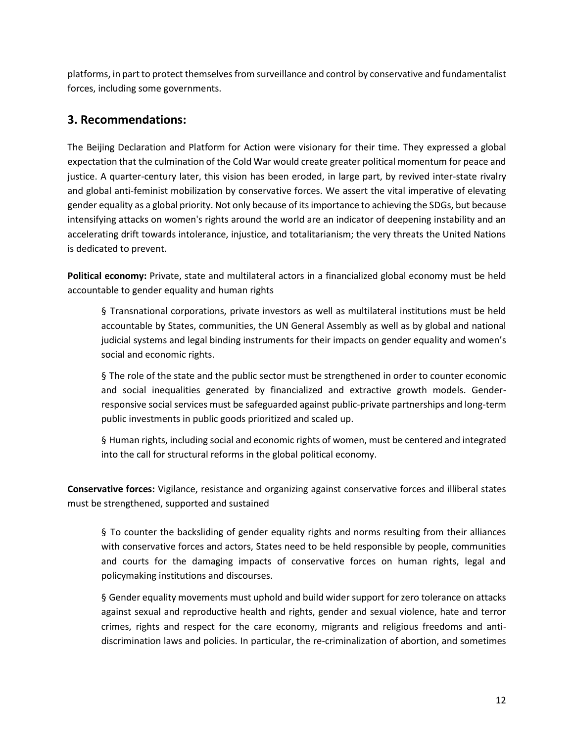platforms, in part to protect themselves from surveillance and control by conservative and fundamentalist forces, including some governments.

## <span id="page-11-0"></span>**3. Recommendations:**

The Beijing Declaration and Platform for Action were visionary for their time. They expressed a global expectation that the culmination of the Cold War would create greater political momentum for peace and justice. A quarter-century later, this vision has been eroded, in large part, by revived inter-state rivalry and global anti-feminist mobilization by conservative forces. We assert the vital imperative of elevating gender equality as a global priority. Not only because of its importance to achieving the SDGs, but because intensifying attacks on women's rights around the world are an indicator of deepening instability and an accelerating drift towards intolerance, injustice, and totalitarianism; the very threats the United Nations is dedicated to prevent.

**Political economy:** Private, state and multilateral actors in a financialized global economy must be held accountable to gender equality and human rights

§ Transnational corporations, private investors as well as multilateral institutions must be held accountable by States, communities, the UN General Assembly as well as by global and national judicial systems and legal binding instruments for their impacts on gender equality and women's social and economic rights.

§ The role of the state and the public sector must be strengthened in order to counter economic and social inequalities generated by financialized and extractive growth models. Genderresponsive social services must be safeguarded against public-private partnerships and long-term public investments in public goods prioritized and scaled up.

§ Human rights, including social and economic rights of women, must be centered and integrated into the call for structural reforms in the global political economy.

**Conservative forces:** Vigilance, resistance and organizing against conservative forces and illiberal states must be strengthened, supported and sustained

§ To counter the backsliding of gender equality rights and norms resulting from their alliances with conservative forces and actors, States need to be held responsible by people, communities and courts for the damaging impacts of conservative forces on human rights, legal and policymaking institutions and discourses.

§ Gender equality movements must uphold and build wider support for zero tolerance on attacks against sexual and reproductive health and rights, gender and sexual violence, hate and terror crimes, rights and respect for the care economy, migrants and religious freedoms and antidiscrimination laws and policies. In particular, the re-criminalization of abortion, and sometimes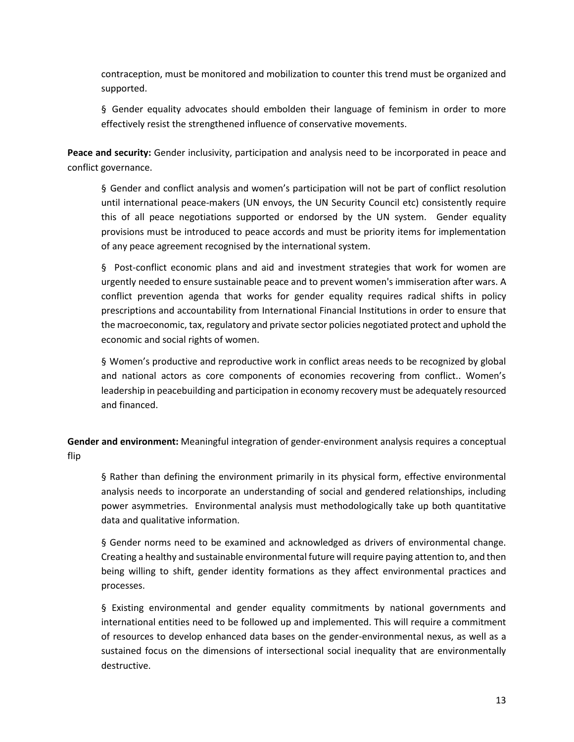contraception, must be monitored and mobilization to counter this trend must be organized and supported.

§ Gender equality advocates should embolden their language of feminism in order to more effectively resist the strengthened influence of conservative movements.

**Peace and security:** Gender inclusivity, participation and analysis need to be incorporated in peace and conflict governance.

§ Gender and conflict analysis and women's participation will not be part of conflict resolution until international peace-makers (UN envoys, the UN Security Council etc) consistently require this of all peace negotiations supported or endorsed by the UN system. Gender equality provisions must be introduced to peace accords and must be priority items for implementation of any peace agreement recognised by the international system.

§ Post-conflict economic plans and aid and investment strategies that work for women are urgently needed to ensure sustainable peace and to prevent women's immiseration after wars. A conflict prevention agenda that works for gender equality requires radical shifts in policy prescriptions and accountability from International Financial Institutions in order to ensure that the macroeconomic, tax, regulatory and private sector policies negotiated protect and uphold the economic and social rights of women.

§ Women's productive and reproductive work in conflict areas needs to be recognized by global and national actors as core components of economies recovering from conflict.. Women's leadership in peacebuilding and participation in economy recovery must be adequately resourced and financed.

**Gender and environment:** Meaningful integration of gender-environment analysis requires a conceptual flip

§ Rather than defining the environment primarily in its physical form, effective environmental analysis needs to incorporate an understanding of social and gendered relationships, including power asymmetries. Environmental analysis must methodologically take up both quantitative data and qualitative information.

§ Gender norms need to be examined and acknowledged as drivers of environmental change. Creating a healthy and sustainable environmental future will require paying attention to, and then being willing to shift, gender identity formations as they affect environmental practices and processes.

§ Existing environmental and gender equality commitments by national governments and international entities need to be followed up and implemented. This will require a commitment of resources to develop enhanced data bases on the gender-environmental nexus, as well as a sustained focus on the dimensions of intersectional social inequality that are environmentally destructive.